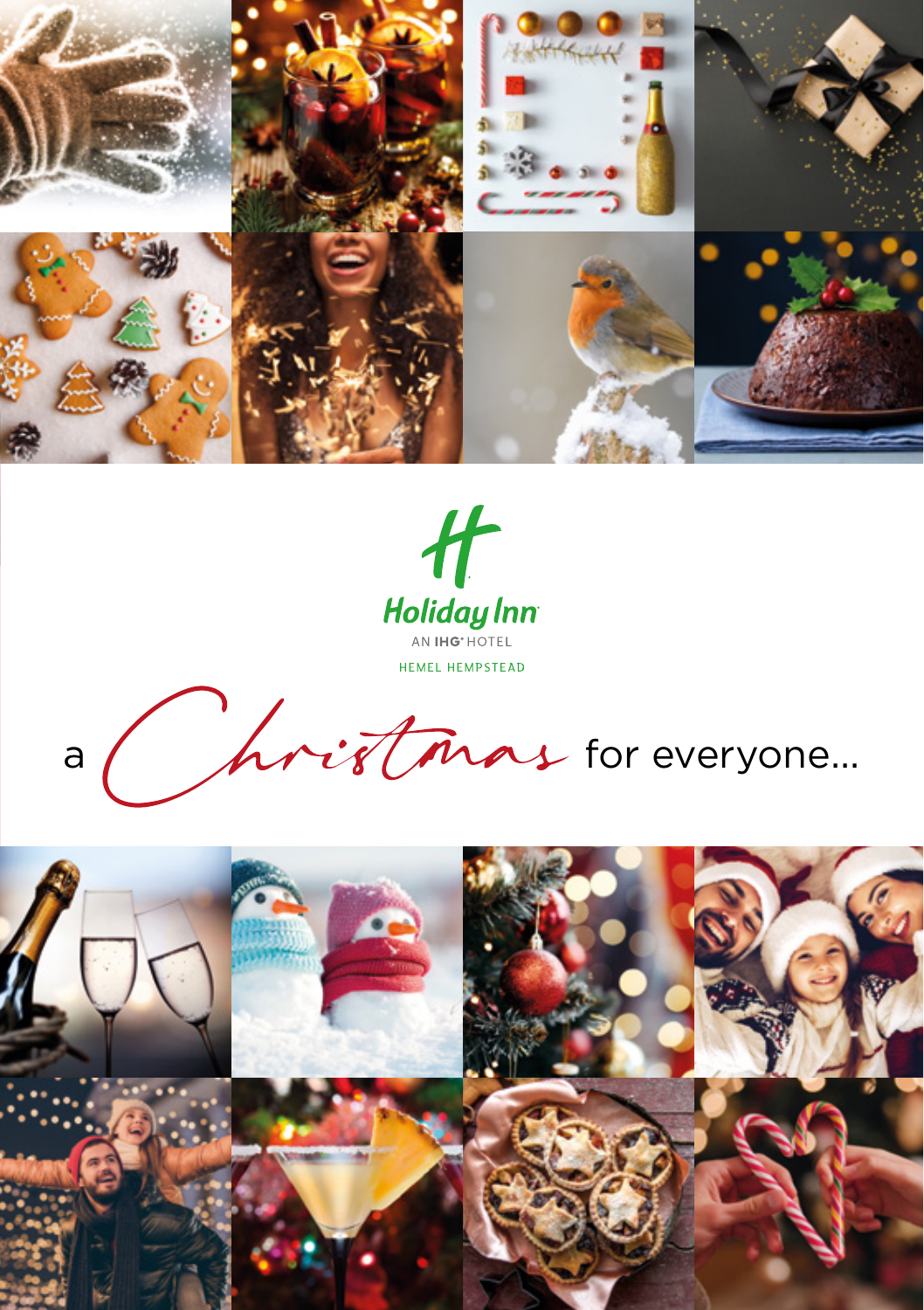





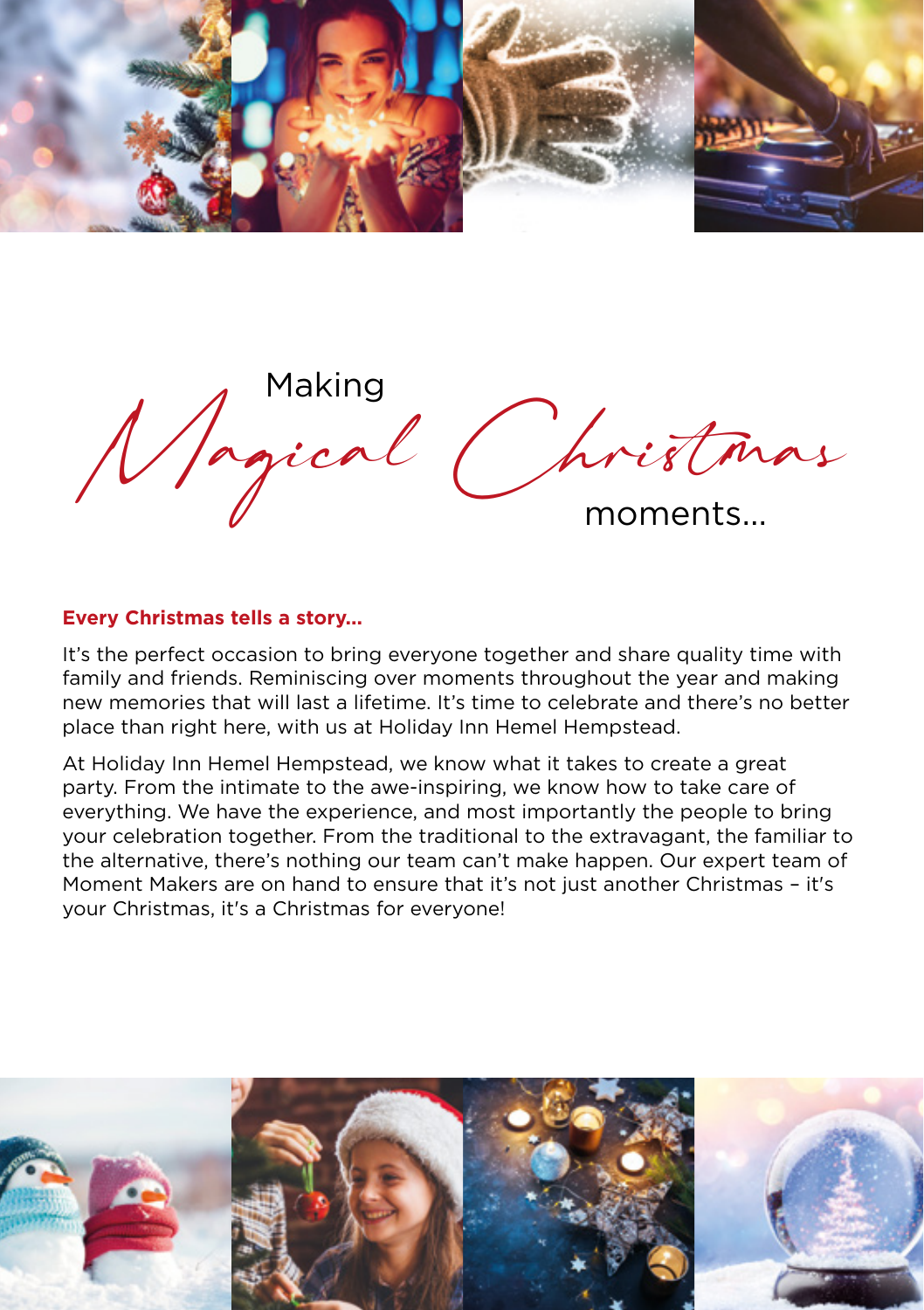

Magical Christmas moments...

## **Every Christmas tells a story...**

It's the perfect occasion to bring everyone together and share quality time with family and friends. Reminiscing over moments throughout the year and making new memories that will last a lifetime. It's time to celebrate and there's no better place than right here, with us at Holiday Inn Hemel Hempstead.

At Holiday Inn Hemel Hempstead, we know what it takes to create a great party. From the intimate to the awe-inspiring, we know how to take care of everything. We have the experience, and most importantly the people to bring your celebration together. From the traditional to the extravagant, the familiar to the alternative, there's nothing our team can't make happen. Our expert team of Moment Makers are on hand to ensure that it's not just another Christmas – it's your Christmas, it's a Christmas for everyone!

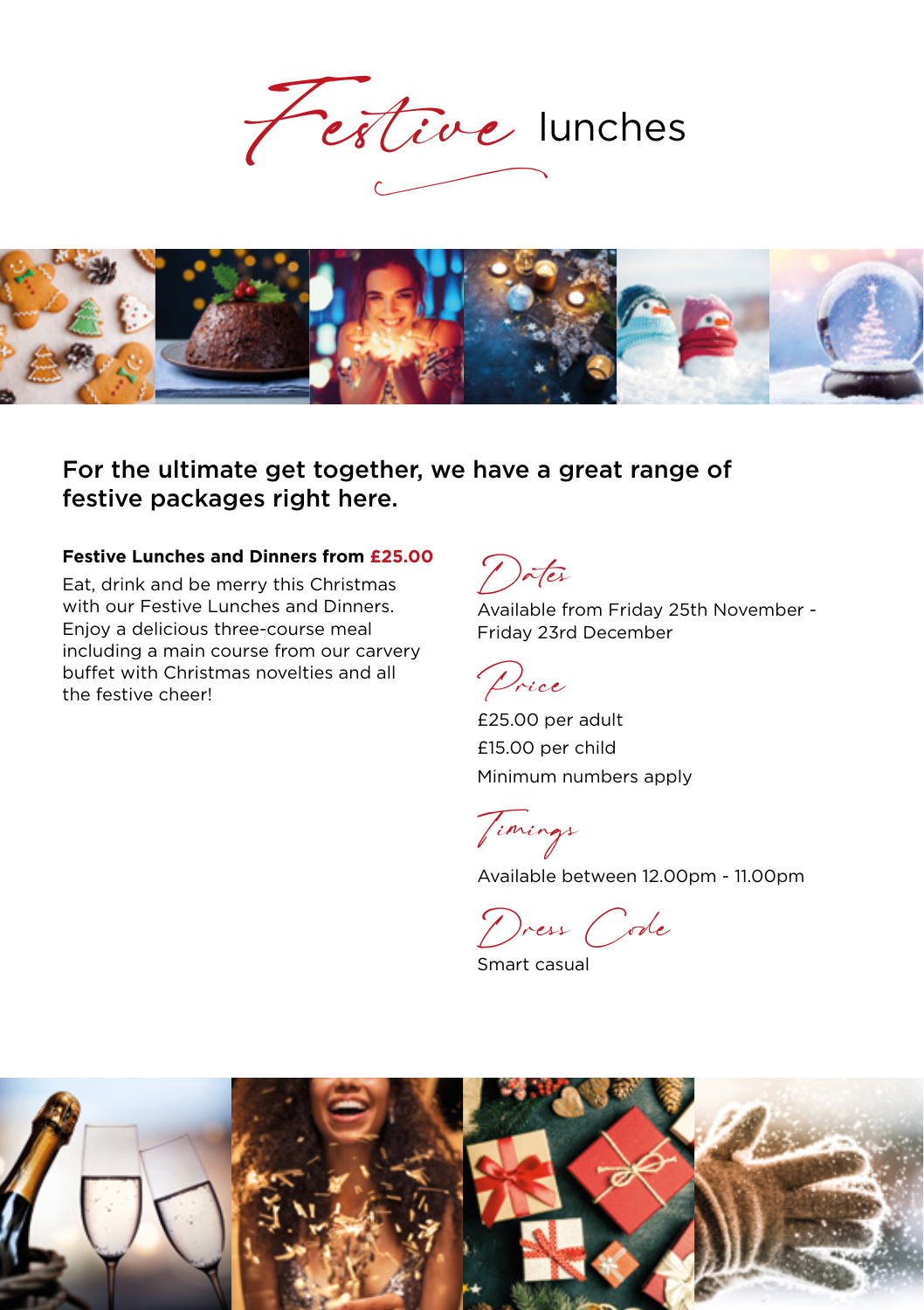Festive lunches



For the ultimate get together, we have a great range of festive packages right here.

### **Festive Lunches and Dinners from £25.00**

Eat, drink and be merry this Christmas with our Festive Lunches and Dinners. Enjoy a delicious three-course meal including a main course from our carvery buffet with Christmas novelties and all the festive cheer!

Dates

Available from Friday 25th November - Friday 23rd December

Price

£25.00 per adult £15.00 per child Minimum numbers apply

Timings

Available between 12.00pm - 11.00pm

Dress Code

Smart casual

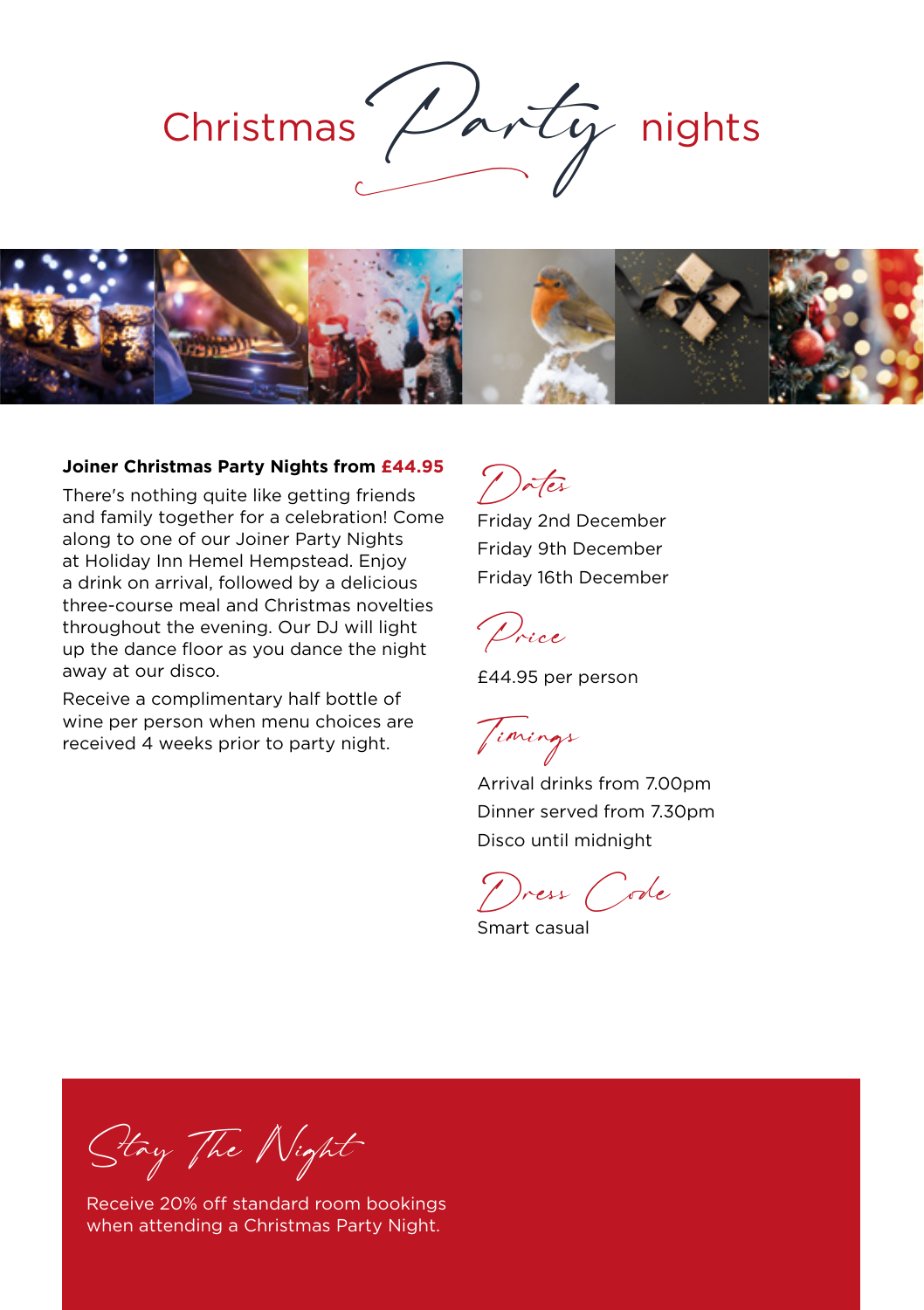



#### **Joiner Christmas Party Nights from £44.95**

There's nothing quite like getting friends and family together for a celebration! Come along to one of our Joiner Party Nights at Holiday Inn Hemel Hempstead. Enjoy a drink on arrival, followed by a delicious three-course meal and Christmas novelties throughout the evening. Our DJ will light up the dance floor as you dance the night away at our disco.

Receive a complimentary half bottle of wine per person when menu choices are received 4 weeks prior to party night.

Dates Friday 2nd December

Friday 9th December Friday 16th December



£44.95 per person

Timings

Arrival drinks from 7.00pm Dinner served from 7.30pm Disco until midnight

Dress Code

Smart casual

Stay The Night

Receive 20% off standard room bookings when attending a Christmas Party Night.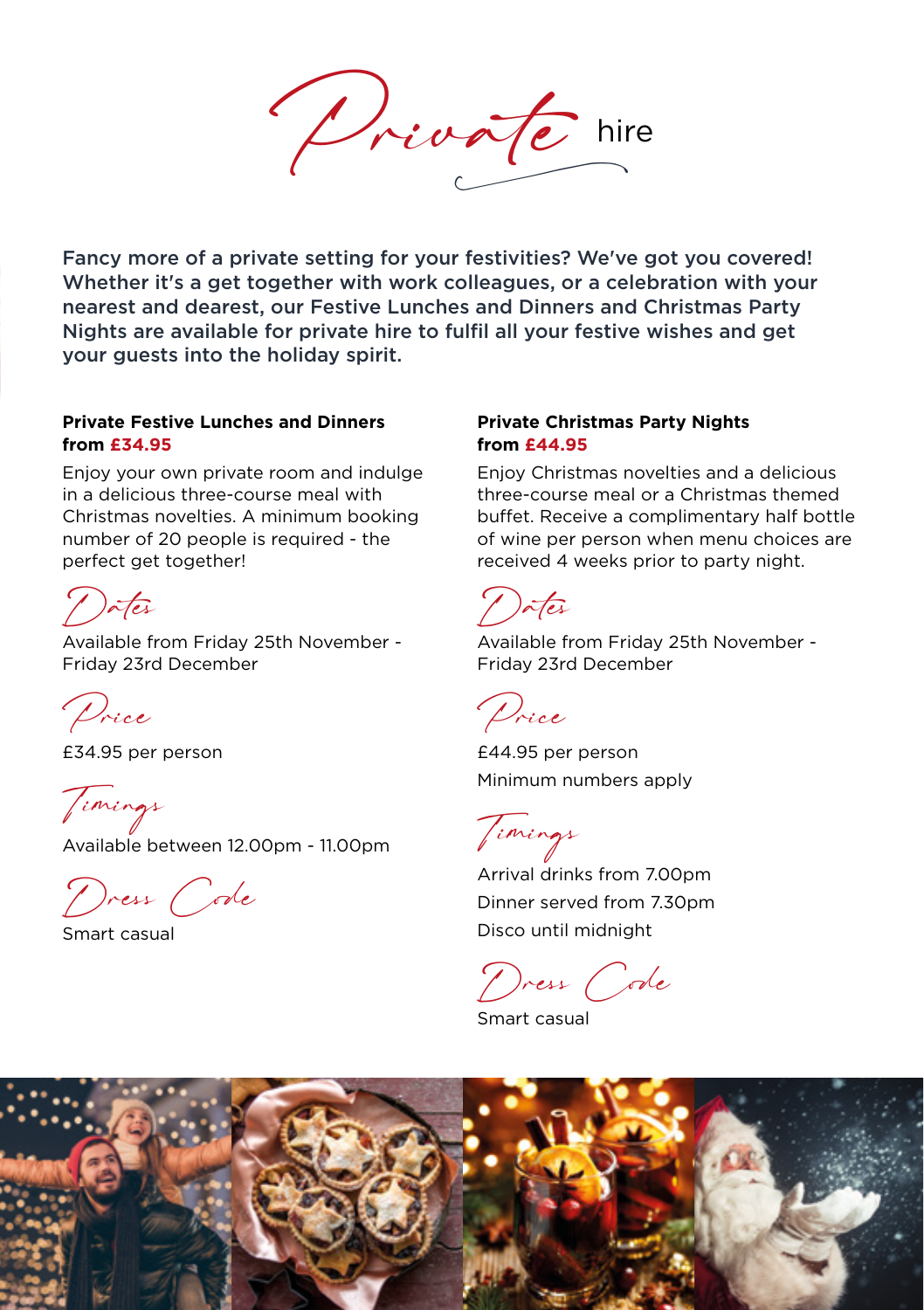Private hire

Fancy more of a private setting for your festivities? We've got you covered! Whether it's a get together with work colleagues, or a celebration with your nearest and dearest, our Festive Lunches and Dinners and Christmas Party Nights are available for private hire to fulfil all your festive wishes and get your guests into the holiday spirit.

#### **Private Festive Lunches and Dinners from £34.95**

Enjoy your own private room and indulge in a delicious three-course meal with Christmas novelties. A minimum booking number of 20 people is required - the perfect get together!

Dates

Available from Friday 25th November - Friday 23rd December

Price

£34.95 per person

Timings

Available between 12.00pm - 11.00pm

Dress Code

Smart casual

#### **Private Christmas Party Nights from £44.95**

Enjoy Christmas novelties and a delicious three-course meal or a Christmas themed buffet. Receive a complimentary half bottle of wine per person when menu choices are received 4 weeks prior to party night.

Dates

Available from Friday 25th November - Friday 23rd December

Price

£44.95 per person Minimum numbers apply

Timings

Arrival drinks from 7.00pm Dinner served from 7.30pm Disco until midnight

Dress Code

Smart casual